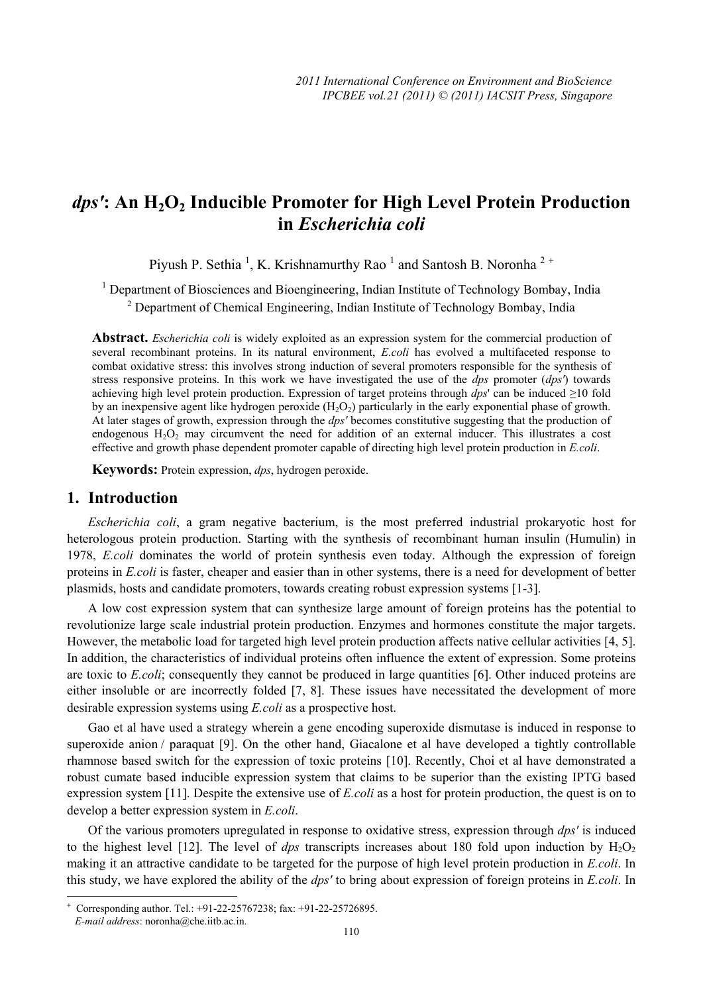# dps': An H<sub>2</sub>O<sub>2</sub> Inducible Promoter for High Level Protein Production **in** *Escherichia coli*

Piyush P. Sethia<sup>1</sup>, K. Krishnamurthy Rao<sup>1</sup> and Santosh B. Noronha<sup>2+</sup>

<sup>1</sup> Department of Biosciences and Bioengineering, Indian Institute of Technology Bombay, India <sup>2</sup> Department of Chemical Engineering, Indian Institute of Technology Bombay, India

**Abstract.** *Escherichia coli* is widely exploited as an expression system for the commercial production of several recombinant proteins. In its natural environment, *E.coli* has evolved a multifaceted response to combat oxidative stress: this involves strong induction of several promoters responsible for the synthesis of stress responsive proteins. In this work we have investigated the use of the *dps* promoter (*dps'*) towards achieving high level protein production. Expression of target proteins through *dps*' can be induced ≥10 fold by an inexpensive agent like hydrogen peroxide  $(H_2O_2)$  particularly in the early exponential phase of growth. At later stages of growth, expression through the *dps'* becomes constitutive suggesting that the production of endogenous  $H_2O_2$  may circumvent the need for addition of an external inducer. This illustrates a cost effective and growth phase dependent promoter capable of directing high level protein production in *E.coli*.

**Keywords:** Protein expression, *dps*, hydrogen peroxide.

## **1. Introduction**

*Escherichia coli*, a gram negative bacterium, is the most preferred industrial prokaryotic host for heterologous protein production. Starting with the synthesis of recombinant human insulin (Humulin) in 1978, *E.coli* dominates the world of protein synthesis even today. Although the expression of foreign proteins in *E.coli* is faster, cheaper and easier than in other systems, there is a need for development of better plasmids, hosts and candidate promoters, towards creating robust expression systems [1-3].

A low cost expression system that can synthesize large amount of foreign proteins has the potential to revolutionize large scale industrial protein production. Enzymes and hormones constitute the major targets. However, the metabolic load for targeted high level protein production affects native cellular activities [4, 5]. In addition, the characteristics of individual proteins often influence the extent of expression. Some proteins are toxic to *E.coli*; consequently they cannot be produced in large quantities [6]. Other induced proteins are either insoluble or are incorrectly folded [7, 8]. These issues have necessitated the development of more desirable expression systems using *E.coli* as a prospective host.

Gao et al have used a strategy wherein a gene encoding superoxide dismutase is induced in response to superoxide anion / paraquat [9]. On the other hand, Giacalone et al have developed a tightly controllable rhamnose based switch for the expression of toxic proteins [10]. Recently, Choi et al have demonstrated a robust cumate based inducible expression system that claims to be superior than the existing IPTG based expression system [11]. Despite the extensive use of *E.coli* as a host for protein production, the quest is on to develop a better expression system in *E.coli*.

Of the various promoters upregulated in response to oxidative stress, expression through *dps'* is induced to the highest level  $[12]$ . The level of *dps* transcripts increases about 180 fold upon induction by  $H_2O_2$ making it an attractive candidate to be targeted for the purpose of high level protein production in *E.coli*. In this study, we have explored the ability of the *dps'* to bring about expression of foreign proteins in *E.coli*. In

 $\overline{\phantom{a}}$ 

<sup>+</sup> Corresponding author. Tel.: +91-22-25767238; fax: +91-22-25726895.

*E-mail address*: noronha@che.iitb.ac.in.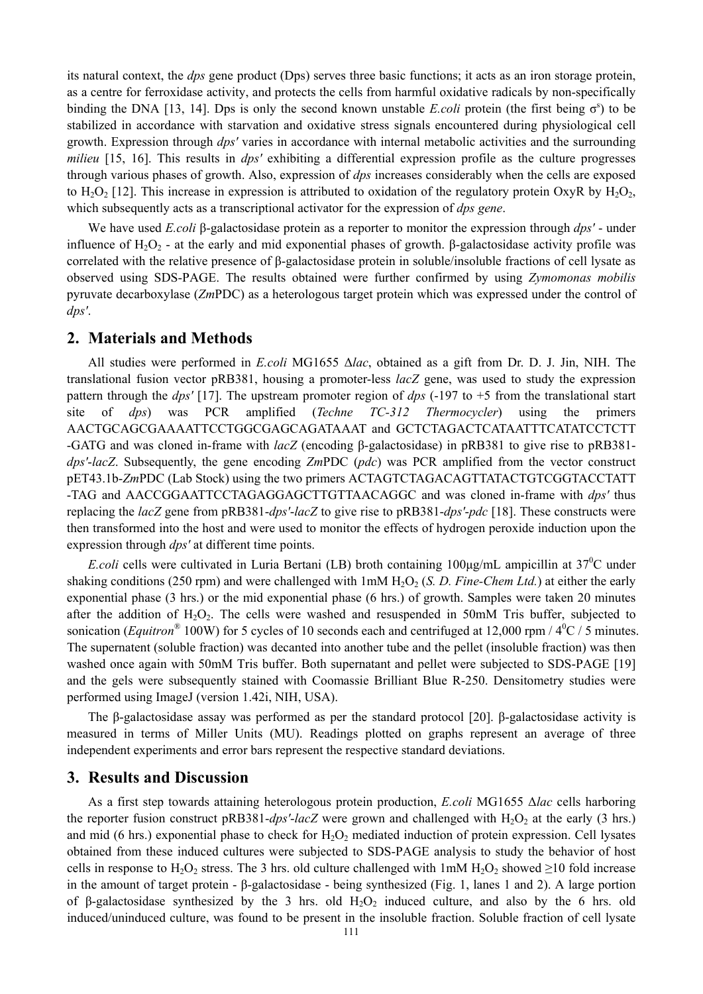its natural context, the *dps* gene product (Dps) serves three basic functions; it acts as an iron storage protein, as a centre for ferroxidase activity, and protects the cells from harmful oxidative radicals by non-specifically binding the DNA [13, 14]. Dps is only the second known unstable *E.coli* protein (the first being  $\sigma^s$ ) to be stabilized in accordance with starvation and oxidative stress signals encountered during physiological cell growth. Expression through *dps'* varies in accordance with internal metabolic activities and the surrounding *milieu* [15, 16]. This results in *dps'* exhibiting a differential expression profile as the culture progresses through various phases of growth. Also, expression of *dps* increases considerably when the cells are exposed to H<sub>2</sub>O<sub>2</sub> [12]. This increase in expression is attributed to oxidation of the regulatory protein OxyR by H<sub>2</sub>O<sub>2</sub>. which subsequently acts as a transcriptional activator for the expression of *dps gene*.

We have used *E.coli* β-galactosidase protein as a reporter to monitor the expression through *dps'* - under influence of  $H_2O_2$  - at the early and mid exponential phases of growth. β-galactosidase activity profile was correlated with the relative presence of β-galactosidase protein in soluble/insoluble fractions of cell lysate as observed using SDS-PAGE. The results obtained were further confirmed by using *Zymomonas mobilis* pyruvate decarboxylase (*Zm*PDC) as a heterologous target protein which was expressed under the control of *dps'*.

## **2. Materials and Methods**

All studies were performed in *E.coli* MG1655 Δ*lac*, obtained as a gift from Dr. D. J. Jin, NIH. The translational fusion vector pRB381, housing a promoter-less *lacZ* gene, was used to study the expression pattern through the *dps'* [17]. The upstream promoter region of *dps* (-197 to +5 from the translational start site of *dps*) was PCR amplified (*Techne TC-312 Thermocycler*) using the primers AACTGCAGCGAAAATTCCTGGCGAGCAGATAAAT and GCTCTAGACTCATAATTTCATATCCTCTT -GATG and was cloned in-frame with *lacZ* (encoding β-galactosidase) in pRB381 to give rise to pRB381 *dps'*-*lacZ*. Subsequently, the gene encoding *Zm*PDC (*pdc*) was PCR amplified from the vector construct pET43.1b-*Zm*PDC (Lab Stock) using the two primers ACTAGTCTAGACAGTTATACTGTCGGTACCTATT -TAG and AACCGGAATTCCTAGAGGAGCTTGTTAACAGGC and was cloned in-frame with *dps'* thus replacing the *lacZ* gene from pRB381-*dps'*-*lacZ* to give rise to pRB381-*dps'*-*pdc* [18]. These constructs were then transformed into the host and were used to monitor the effects of hydrogen peroxide induction upon the expression through *dps'* at different time points.

*E.coli* cells were cultivated in Luria Bertani (LB) broth containing 100μg/mL ampicillin at 37<sup>0</sup>C under shaking conditions (250 rpm) and were challenged with  $1 \text{m} \text{M H}_2\text{O}_2$  (*S. D. Fine-Chem Ltd.*) at either the early exponential phase (3 hrs.) or the mid exponential phase (6 hrs.) of growth. Samples were taken 20 minutes after the addition of  $H_2O_2$ . The cells were washed and resuspended in 50mM Tris buffer, subjected to sonication (*Equitron*<sup>®</sup> 100W) for 5 cycles of 10 seconds each and centrifuged at 12,000 rpm /  $4^{\circ}$ C / 5 minutes. The supernatent (soluble fraction) was decanted into another tube and the pellet (insoluble fraction) was then washed once again with 50mM Tris buffer. Both supernatant and pellet were subjected to SDS-PAGE [19] and the gels were subsequently stained with Coomassie Brilliant Blue R-250. Densitometry studies were performed using ImageJ (version 1.42i, NIH, USA).

The β-galactosidase assay was performed as per the standard protocol [20]. β-galactosidase activity is measured in terms of Miller Units (MU). Readings plotted on graphs represent an average of three independent experiments and error bars represent the respective standard deviations.

# **3. Results and Discussion**

As a first step towards attaining heterologous protein production, *E.coli* MG1655 Δ*lac* cells harboring the reporter fusion construct pRB381-*dps'*-*lacZ* were grown and challenged with  $H_2O_2$  at the early (3 hrs.) and mid (6 hrs.) exponential phase to check for  $H_2O_2$  mediated induction of protein expression. Cell lysates obtained from these induced cultures were subjected to SDS-PAGE analysis to study the behavior of host cells in response to H<sub>2</sub>O<sub>2</sub> stress. The 3 hrs. old culture challenged with 1mM H<sub>2</sub>O<sub>2</sub> showed  $\geq$ 10 fold increase in the amount of target protein - β-galactosidase - being synthesized (Fig. 1, lanes 1 and 2). A large portion of β-galactosidase synthesized by the 3 hrs. old  $H_2O_2$  induced culture, and also by the 6 hrs. old induced/uninduced culture, was found to be present in the insoluble fraction. Soluble fraction of cell lysate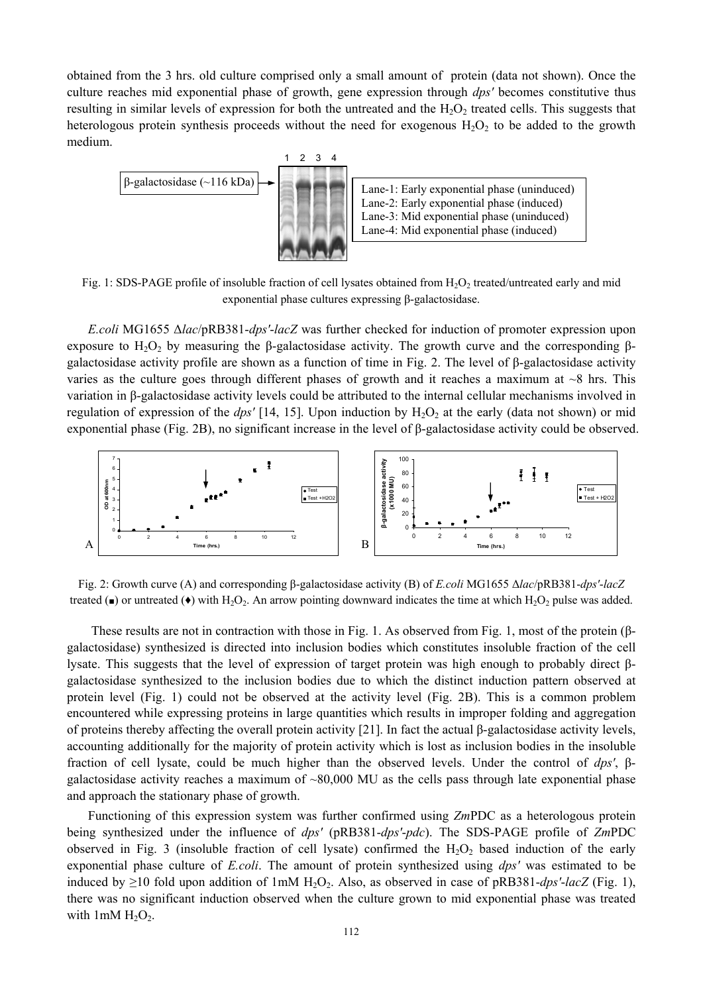obtained from the 3 hrs. old culture comprised only a small amount of protein (data not shown). Once the culture reaches mid exponential phase of growth, gene expression through *dps'* becomes constitutive thus resulting in similar levels of expression for both the untreated and the  $H_2O_2$  treated cells. This suggests that heterologous protein synthesis proceeds without the need for exogenous  $H_2O_2$  to be added to the growth medium.



Fig. 1: SDS-PAGE profile of insoluble fraction of cell lysates obtained from  $H_2O_2$  treated/untreated early and mid exponential phase cultures expressing β-galactosidase.

*E.coli* MG1655 Δ*lac*/pRB381-*dps'*-*lacZ* was further checked for induction of promoter expression upon exposure to  $H_2O_2$  by measuring the β-galactosidase activity. The growth curve and the corresponding βgalactosidase activity profile are shown as a function of time in Fig. 2. The level of β-galactosidase activity varies as the culture goes through different phases of growth and it reaches a maximum at  $\sim$ 8 hrs. This variation in β-galactosidase activity levels could be attributed to the internal cellular mechanisms involved in regulation of expression of the *dps'* [14, 15]. Upon induction by  $H_2O_2$  at the early (data not shown) or mid exponential phase (Fig. 2B), no significant increase in the level of β-galactosidase activity could be observed.



Fig. 2: Growth curve (A) and corresponding β-galactosidase activity (B) of *E.coli* MG1655 Δ*lac*/pRB381-*dps'*-*lacZ* treated ( $\bullet$ ) or untreated ( $\bullet$ ) with H<sub>2</sub>O<sub>2</sub>. An arrow pointing downward indicates the time at which H<sub>2</sub>O<sub>2</sub> pulse was added.

 These results are not in contraction with those in Fig. 1. As observed from Fig. 1, most of the protein (βgalactosidase) synthesized is directed into inclusion bodies which constitutes insoluble fraction of the cell lysate. This suggests that the level of expression of target protein was high enough to probably direct βgalactosidase synthesized to the inclusion bodies due to which the distinct induction pattern observed at protein level (Fig. 1) could not be observed at the activity level (Fig. 2B). This is a common problem encountered while expressing proteins in large quantities which results in improper folding and aggregation of proteins thereby affecting the overall protein activity [21]. In fact the actual β-galactosidase activity levels, accounting additionally for the majority of protein activity which is lost as inclusion bodies in the insoluble fraction of cell lysate, could be much higher than the observed levels. Under the control of *dps'*, βgalactosidase activity reaches a maximum of  $~80,000$  MU as the cells pass through late exponential phase and approach the stationary phase of growth.

Functioning of this expression system was further confirmed using *Zm*PDC as a heterologous protein being synthesized under the influence of *dps'* (pRB381-*dps'*-*pdc*). The SDS-PAGE profile of *Zm*PDC observed in Fig. 3 (insoluble fraction of cell lysate) confirmed the  $H_2O_2$  based induction of the early exponential phase culture of *E.coli*. The amount of protein synthesized using *dps'* was estimated to be induced by ≥10 fold upon addition of 1mM  $H_2O_2$ . Also, as observed in case of pRB381-*dps'*-*lacZ* (Fig. 1), there was no significant induction observed when the culture grown to mid exponential phase was treated with  $1mM H_2O_2$ .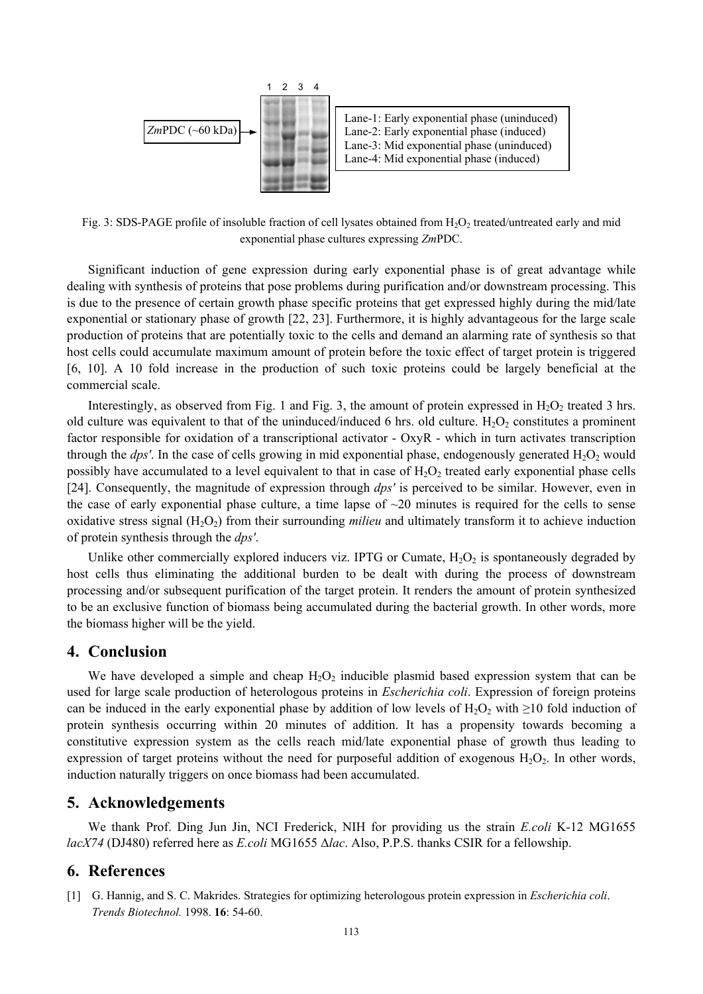

Fig. 3: SDS-PAGE profile of insoluble fraction of cell lysates obtained from  $H_2O_2$  treated/untreated early and mid exponential phase cultures expressing *Zm*PDC.

Significant induction of gene expression during early exponential phase is of great advantage while dealing with synthesis of proteins that pose problems during purification and/or downstream processing. This is due to the presence of certain growth phase specific proteins that get expressed highly during the mid/late exponential or stationary phase of growth [22, 23]. Furthermore, it is highly advantageous for the large scale production of proteins that are potentially toxic to the cells and demand an alarming rate of synthesis so that host cells could accumulate maximum amount of protein before the toxic effect of target protein is triggered [6, 10]. A 10 fold increase in the production of such toxic proteins could be largely beneficial at the commercial scale.

Interestingly, as observed from Fig. 1 and Fig. 3, the amount of protein expressed in  $H_2O_2$  treated 3 hrs. old culture was equivalent to that of the uninduced/induced 6 hrs. old culture.  $H_2O_2$  constitutes a prominent factor responsible for oxidation of a transcriptional activator - OxyR - which in turn activates transcription through the *dps'*. In the case of cells growing in mid exponential phase, endogenously generated  $H_2O_2$  would possibly have accumulated to a level equivalent to that in case of  $H_2O_2$  treated early exponential phase cells [24]. Consequently, the magnitude of expression through *dps'* is perceived to be similar. However, even in the case of early exponential phase culture, a time lapse of  $\sim$ 20 minutes is required for the cells to sense oxidative stress signal (H<sub>2</sub>O<sub>2</sub>) from their surrounding *milieu* and ultimately transform it to achieve induction of protein synthesis through the *dps'*.

Unlike other commercially explored inducers viz. IPTG or Cumate,  $H_2O_2$  is spontaneously degraded by host cells thus eliminating the additional burden to be dealt with during the process of downstream processing and/or subsequent purification of the target protein. It renders the amount of protein synthesized to be an exclusive function of biomass being accumulated during the bacterial growth. In other words, more the biomass higher will be the yield.

### **4. Conclusion**

We have developed a simple and cheap  $H_2O_2$  inducible plasmid based expression system that can be used for large scale production of heterologous proteins in *Escherichia coli*. Expression of foreign proteins can be induced in the early exponential phase by addition of low levels of H<sub>2</sub>O<sub>2</sub> with ≥10 fold induction of protein synthesis occurring within 20 minutes of addition. It has a propensity towards becoming a constitutive expression system as the cells reach mid/late exponential phase of growth thus leading to expression of target proteins without the need for purposeful addition of exogenous  $H_2O_2$ . In other words, induction naturally triggers on once biomass had been accumulated.

# **5. Acknowledgements**

We thank Prof. Ding Jun Jin, NCI Frederick, NIH for providing us the strain *E.coli* K-12 MG1655 *lacX74* (DJ480) referred here as *E.coli* MG1655 Δ*lac*. Also, P.P.S. thanks CSIR for a fellowship.

#### **6. References**

[1] G. Hannig, and S. C. Makrides. Strategies for optimizing heterologous protein expression in *Escherichia coli*. *Trends Biotechnol.* 1998. **16**: 54-60.